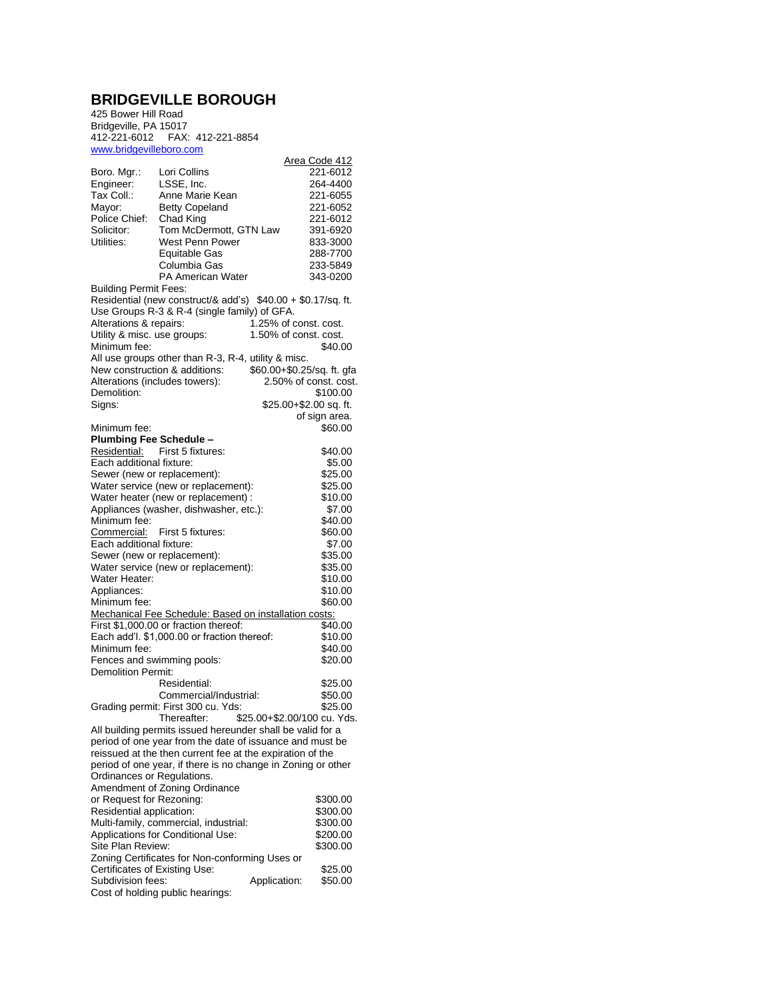## **BRIDGEVILLE BOROUGH**

425 Bower Hill Road Bridgeville, PA 15017 412-221-6012 FAX: 412-221-8854 <www.bridgevilleboro.com>

| www.phqguvillupulu.com         |                                                              |                            |                       |
|--------------------------------|--------------------------------------------------------------|----------------------------|-----------------------|
|                                |                                                              |                            | Area Code 412         |
| Boro. Mgr.:                    | Lori Collins                                                 |                            | 221-6012              |
| Engineer:                      | LSSE, Inc.                                                   |                            | 264-4400              |
| Tax Coll.:                     | Anne Marie Kean                                              |                            | 221-6055              |
| Mayor:                         | <b>Betty Copeland</b>                                        |                            | 221-6052              |
| Police Chief:                  | Chad King                                                    |                            | 221-6012              |
| Solicitor:                     | Tom McDermott, GTN Law                                       |                            | 391-6920              |
| Utilities:                     | West Penn Power                                              |                            | 833-3000              |
|                                |                                                              |                            |                       |
|                                | Equitable Gas                                                |                            | 288-7700              |
|                                | Columbia Gas                                                 |                            | 233-5849              |
|                                | PA American Water                                            |                            | 343-0200              |
| <b>Building Permit Fees:</b>   |                                                              |                            |                       |
|                                | Residential (new construct/& add's) \$40.00 + \$0.17/sq. ft. |                            |                       |
|                                | Use Groups R-3 & R-4 (single family) of GFA.                 |                            |                       |
| Alterations & repairs:         |                                                              | 1.25% of const. cost.      |                       |
| Utility & misc. use groups:    |                                                              | 1.50% of const. cost.      |                       |
|                                |                                                              |                            |                       |
| Minimum fee:                   |                                                              |                            | \$40.00               |
|                                | All use groups other than R-3, R-4, utility & misc.          |                            |                       |
|                                | New construction & additions:                                | \$60.00+\$0.25/sq. ft. gfa |                       |
| Alterations (includes towers): |                                                              |                            | 2.50% of const. cost. |
| Demolition:                    |                                                              |                            | \$100.00              |
| Signs:                         |                                                              | \$25.00+\$2.00 sq. ft.     |                       |
|                                |                                                              |                            | of sign area.         |
| Minimum fee:                   |                                                              |                            | \$60.00               |
|                                |                                                              |                            |                       |
| <b>Plumbing Fee Schedule -</b> |                                                              |                            |                       |
| Residential:                   | First 5 fixtures:                                            |                            | \$40.00               |
| Each additional fixture:       |                                                              |                            | \$5.00                |
| Sewer (new or replacement):    |                                                              |                            | \$25.00               |
|                                | Water service (new or replacement):                          |                            | \$25.00               |
|                                | Water heater (new or replacement) :                          |                            | \$10.00               |
|                                | Appliances (washer, dishwasher, etc.):                       |                            | \$7.00                |
| Minimum fee:                   |                                                              |                            | \$40.00               |
|                                |                                                              |                            |                       |
| Commercial:                    | First 5 fixtures:                                            |                            | \$60.00               |
| Each additional fixture:       |                                                              |                            | \$7.00                |
| Sewer (new or replacement):    |                                                              |                            | \$35.00               |
|                                | Water service (new or replacement):                          |                            | \$35.00               |
| Water Heater:                  |                                                              |                            | \$10.00               |
| Appliances:                    |                                                              |                            | \$10.00               |
| Minimum fee:                   |                                                              |                            | \$60.00               |
|                                | Mechanical Fee Schedule: Based on installation costs:        |                            |                       |
|                                | First \$1,000.00 or fraction thereof:                        |                            | \$40.00               |
|                                |                                                              |                            |                       |
|                                | Each add'l. \$1,000.00 or fraction thereof:                  |                            | \$10.00               |
| Minimum fee:                   |                                                              |                            | \$40.00               |
| Fences and swimming pools:     |                                                              |                            | \$20.00               |
| <b>Demolition Permit:</b>      |                                                              |                            |                       |
|                                | Residential:                                                 |                            | \$25.00               |
|                                | Commercial/Industrial:                                       |                            | \$50.00               |
|                                | Grading permit: First 300 cu. Yds:                           |                            | \$25.00               |
|                                | Thereafter: \$25.00+\$2.00/100 cu. Yds.                      |                            |                       |
|                                | All building permits issued hereunder shall be valid for a   |                            |                       |
|                                |                                                              |                            |                       |
|                                | period of one year from the date of issuance and must be     |                            |                       |
|                                | reissued at the then current fee at the expiration of the    |                            |                       |
|                                | period of one year, if there is no change in Zoning or other |                            |                       |
| Ordinances or Regulations.     |                                                              |                            |                       |
|                                | Amendment of Zoning Ordinance                                |                            |                       |
| or Request for Rezoning:       |                                                              |                            | \$300.00              |
| Residential application:       |                                                              |                            | \$300.00              |
|                                | Multi-family, commercial, industrial:                        |                            | \$300.00              |
|                                |                                                              |                            |                       |
|                                | Applications for Conditional Use:                            |                            | \$200.00              |
| Site Plan Review:              |                                                              |                            | \$300.00              |
|                                | Zoning Certificates for Non-conforming Uses or               |                            |                       |
| Certificates of Existing Use:  |                                                              |                            | \$25.00               |
| Subdivision fees:              |                                                              | Application:               | \$50.00               |
|                                | Cost of holding public hearings:                             |                            |                       |
|                                |                                                              |                            |                       |